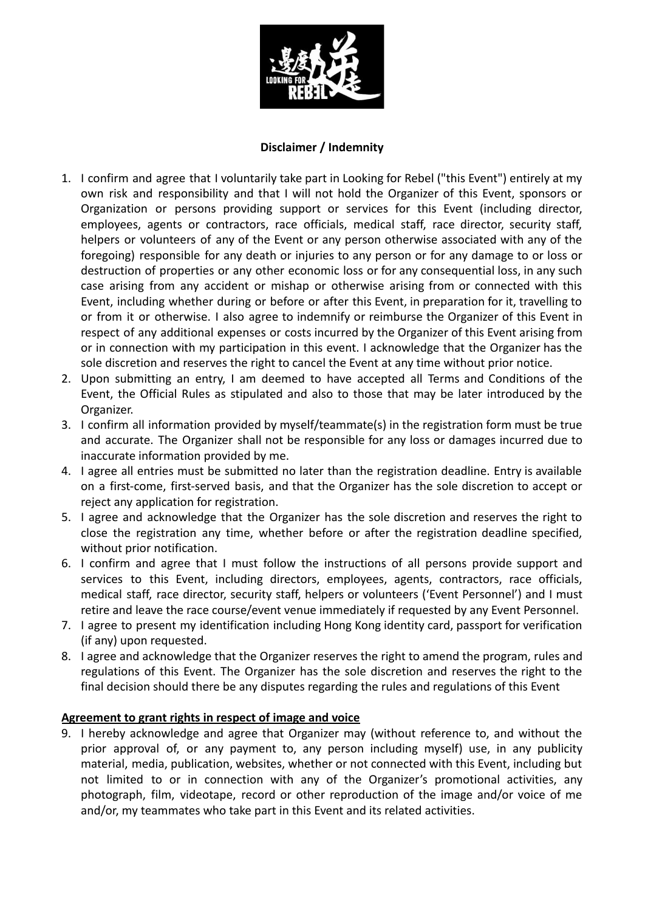

# **Disclaimer / Indemnity**

- 1. I confirm and agree that I voluntarily take part in Looking for Rebel ("this Event") entirely at my own risk and responsibility and that I will not hold the Organizer of this Event, sponsors or Organization or persons providing support or services for this Event (including director, employees, agents or contractors, race officials, medical staff, race director, security staff, helpers or volunteers of any of the Event or any person otherwise associated with any of the foregoing) responsible for any death or injuries to any person or for any damage to or loss or destruction of properties or any other economic loss or for any consequential loss, in any such case arising from any accident or mishap or otherwise arising from or connected with this Event, including whether during or before or after this Event, in preparation for it, travelling to or from it or otherwise. I also agree to indemnify or reimburse the Organizer of this Event in respect of any additional expenses or costs incurred by the Organizer of this Event arising from or in connection with my participation in this event. I acknowledge that the Organizer has the sole discretion and reserves the right to cancel the Event at any time without prior notice.
- 2. Upon submitting an entry, I am deemed to have accepted all Terms and Conditions of the Event, the Official Rules as stipulated and also to those that may be later introduced by the Organizer.
- 3. I confirm all information provided by myself/teammate(s) in the registration form must be true and accurate. The Organizer shall not be responsible for any loss or damages incurred due to inaccurate information provided by me.
- 4. I agree all entries must be submitted no later than the registration deadline. Entry is available on a first-come, first-served basis, and that the Organizer has the sole discretion to accept or reject any application for registration.
- 5. I agree and acknowledge that the Organizer has the sole discretion and reserves the right to close the registration any time, whether before or after the registration deadline specified, without prior notification.
- 6. I confirm and agree that I must follow the instructions of all persons provide support and services to this Event, including directors, employees, agents, contractors, race officials, medical staff, race director, security staff, helpers or volunteers ('Event Personnel') and I must retire and leave the race course/event venue immediately if requested by any Event Personnel.
- 7. I agree to present my identification including Hong Kong identity card, passport for verification (if any) upon requested.
- 8. I agree and acknowledge that the Organizer reserves the right to amend the program, rules and regulations of this Event. The Organizer has the sole discretion and reserves the right to the final decision should there be any disputes regarding the rules and regulations of this Event

### **Agreement to grant rights in respect of image and voice**

9. I hereby acknowledge and agree that Organizer may (without reference to, and without the prior approval of, or any payment to, any person including myself) use, in any publicity material, media, publication, websites, whether or not connected with this Event, including but not limited to or in connection with any of the Organizer's promotional activities, any photograph, film, videotape, record or other reproduction of the image and/or voice of me and/or, my teammates who take part in this Event and its related activities.